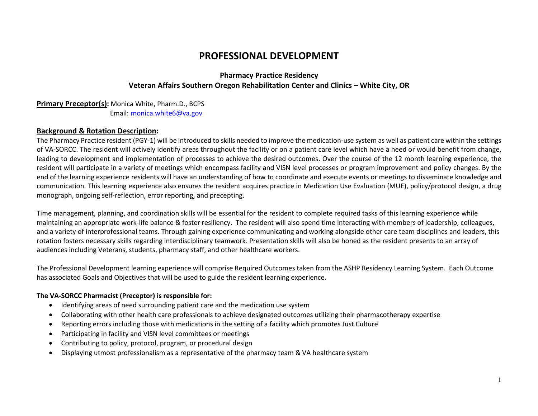# **PROFESSIONAL DEVELOPMENT**

# **Pharmacy Practice Residency Veteran Affairs Southern Oregon Rehabilitation Center and Clinics – White City, OR**

## **Primary Preceptor(s):** Monica White, Pharm.D., BCPS Email: [monica.white6@va.gov](mailto:monica.white6@va.gov)

### **Background & Rotation Description:**

The Pharmacy Practice resident (PGY-1) will be introduced to skills needed to improve the medication-use system as well as patient care within the settings of VA-SORCC. The resident will actively identify areas throughout the facility or on a patient care level which have a need or would benefit from change, leading to development and implementation of processes to achieve the desired outcomes. Over the course of the 12 month learning experience, the resident will participate in a variety of meetings which encompass facility and VISN level processes or program improvement and policy changes. By the end of the learning experience residents will have an understanding of how to coordinate and execute events or meetings to disseminate knowledge and communication. This learning experience also ensures the resident acquires practice in Medication Use Evaluation (MUE), policy/protocol design, a drug monograph, ongoing self-reflection, error reporting, and precepting.

Time management, planning, and coordination skills will be essential for the resident to complete required tasks of this learning experience while maintaining an appropriate work-life balance & foster resiliency. The resident will also spend time interacting with members of leadership, colleagues, and a variety of interprofessional teams. Through gaining experience communicating and working alongside other care team disciplines and leaders, this rotation fosters necessary skills regarding interdisciplinary teamwork. Presentation skills will also be honed as the resident presents to an array of audiences including Veterans, students, pharmacy staff, and other healthcare workers.

The Professional Development learning experience will comprise Required Outcomes taken from the ASHP Residency Learning System. Each Outcome has associated Goals and Objectives that will be used to guide the resident learning experience.

### **The VA-SORCC Pharmacist (Preceptor) is responsible for:**

- Identifying areas of need surrounding patient care and the medication use system
- Collaborating with other health care professionals to achieve designated outcomes utilizing their pharmacotherapy expertise
- Reporting errors including those with medications in the setting of a facility which promotes Just Culture
- Participating in facility and VISN level committees or meetings
- Contributing to policy, protocol, program, or procedural design
- Displaying utmost professionalism as a representative of the pharmacy team & VA healthcare system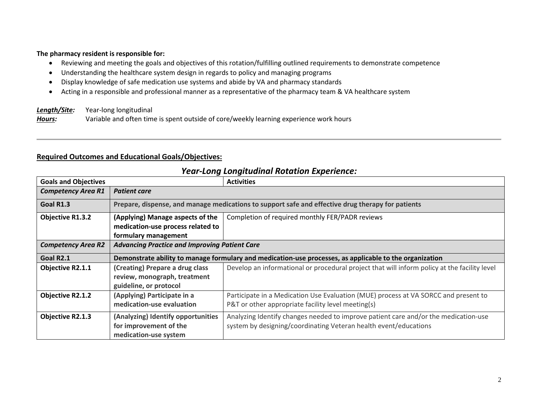### **The pharmacy resident is responsible for:**

- Reviewing and meeting the goals and objectives of this rotation/fulfilling outlined requirements to demonstrate competence
- Understanding the healthcare system design in regards to policy and managing programs
- Display knowledge of safe medication use systems and abide by VA and pharmacy standards
- Acting in a responsible and professional manner as a representative of the pharmacy team & VA healthcare system

*Length/Site:* Year-long longitudinal

*Hours:* Variable and often time is spent outside of core/weekly learning experience work hours

# **Required Outcomes and Educational Goals/Objectives:**

| <b>Goals and Objectives</b> |                                                                                                         | <b>Activities</b>                                                                                                                                       |  |
|-----------------------------|---------------------------------------------------------------------------------------------------------|---------------------------------------------------------------------------------------------------------------------------------------------------------|--|
| <b>Competency Area R1</b>   | <b>Patient care</b>                                                                                     |                                                                                                                                                         |  |
| Goal R1.3                   | Prepare, dispense, and manage medications to support safe and effective drug therapy for patients       |                                                                                                                                                         |  |
| <b>Objective R1.3.2</b>     | (Applying) Manage aspects of the<br>medication-use process related to<br>formulary management           | Completion of required monthly FER/PADR reviews                                                                                                         |  |
| <b>Competency Area R2</b>   | <b>Advancing Practice and Improving Patient Care</b>                                                    |                                                                                                                                                         |  |
| Goal R2.1                   | Demonstrate ability to manage formulary and medication-use processes, as applicable to the organization |                                                                                                                                                         |  |
| <b>Objective R2.1.1</b>     | (Creating) Prepare a drug class<br>review, monograph, treatment<br>guideline, or protocol               | Develop an informational or procedural project that will inform policy at the facility level                                                            |  |
| <b>Objective R2.1.2</b>     | (Applying) Participate in a<br>medication-use evaluation                                                | Participate in a Medication Use Evaluation (MUE) process at VA SORCC and present to<br>P&T or other appropriate facility level meeting(s)               |  |
| Objective R2.1.3            | (Analyzing) Identify opportunities<br>for improvement of the<br>medication-use system                   | Analyzing Identify changes needed to improve patient care and/or the medication-use<br>system by designing/coordinating Veteran health event/educations |  |

# *Year-Long Longitudinal Rotation Experience:*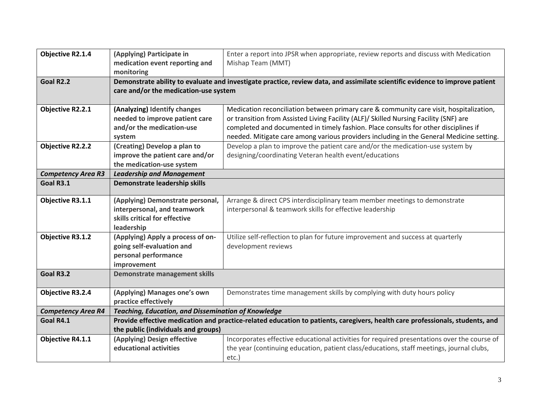| <b>Objective R2.1.4</b>   | (Applying) Participate in<br>medication event reporting and | Enter a report into JPSR when appropriate, review reports and discuss with Medication<br>Mishap Team (MMT)                    |  |  |
|---------------------------|-------------------------------------------------------------|-------------------------------------------------------------------------------------------------------------------------------|--|--|
|                           | monitoring                                                  |                                                                                                                               |  |  |
| Goal R2.2                 |                                                             | Demonstrate ability to evaluate and investigate practice, review data, and assimilate scientific evidence to improve patient  |  |  |
|                           | care and/or the medication-use system                       |                                                                                                                               |  |  |
|                           |                                                             |                                                                                                                               |  |  |
| <b>Objective R2.2.1</b>   | (Analyzing) Identify changes                                | Medication reconciliation between primary care & community care visit, hospitalization,                                       |  |  |
|                           | needed to improve patient care                              | or transition from Assisted Living Facility (ALF)/ Skilled Nursing Facility (SNF) are                                         |  |  |
|                           | and/or the medication-use                                   | completed and documented in timely fashion. Place consults for other disciplines if                                           |  |  |
|                           | system                                                      | needed. Mitigate care among various providers including in the General Medicine setting.                                      |  |  |
| <b>Objective R2.2.2</b>   | (Creating) Develop a plan to                                | Develop a plan to improve the patient care and/or the medication-use system by                                                |  |  |
|                           | improve the patient care and/or                             | designing/coordinating Veteran health event/educations                                                                        |  |  |
|                           | the medication-use system                                   |                                                                                                                               |  |  |
| <b>Competency Area R3</b> | <b>Leadership and Management</b>                            |                                                                                                                               |  |  |
| Goal R3.1                 | Demonstrate leadership skills                               |                                                                                                                               |  |  |
|                           |                                                             |                                                                                                                               |  |  |
| Objective R3.1.1          | (Applying) Demonstrate personal,                            | Arrange & direct CPS interdisciplinary team member meetings to demonstrate                                                    |  |  |
|                           | interpersonal, and teamwork                                 | interpersonal & teamwork skills for effective leadership                                                                      |  |  |
|                           | skills critical for effective                               |                                                                                                                               |  |  |
|                           | leadership                                                  |                                                                                                                               |  |  |
| <b>Objective R3.1.2</b>   | (Applying) Apply a process of on-                           | Utilize self-reflection to plan for future improvement and success at quarterly                                               |  |  |
|                           | going self-evaluation and                                   | development reviews                                                                                                           |  |  |
|                           | personal performance                                        |                                                                                                                               |  |  |
|                           | improvement                                                 |                                                                                                                               |  |  |
| Goal R3.2                 | <b>Demonstrate management skills</b>                        |                                                                                                                               |  |  |
|                           |                                                             |                                                                                                                               |  |  |
| <b>Objective R3.2.4</b>   | (Applying) Manages one's own                                | Demonstrates time management skills by complying with duty hours policy                                                       |  |  |
|                           | practice effectively                                        |                                                                                                                               |  |  |
| <b>Competency Area R4</b> | <b>Teaching, Education, and Dissemination of Knowledge</b>  |                                                                                                                               |  |  |
| Goal R4.1                 |                                                             | Provide effective medication and practice-related education to patients, caregivers, health care professionals, students, and |  |  |
|                           | the public (individuals and groups)                         |                                                                                                                               |  |  |
| <b>Objective R4.1.1</b>   | (Applying) Design effective                                 | Incorporates effective educational activities for required presentations over the course of                                   |  |  |
|                           | educational activities                                      | the year (continuing education, patient class/educations, staff meetings, journal clubs,                                      |  |  |
|                           |                                                             | etc.)                                                                                                                         |  |  |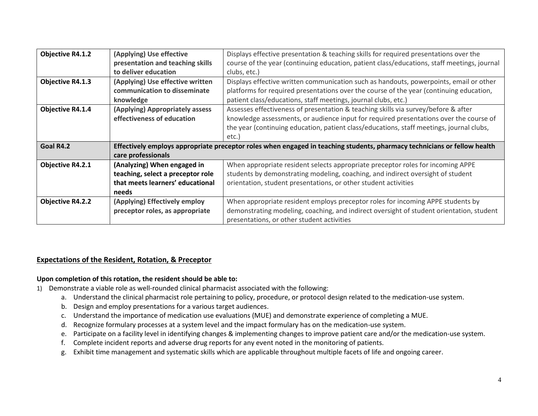| <b>Objective R4.1.2</b> | (Applying) Use effective                                                                                                 | Displays effective presentation & teaching skills for required presentations over the       |  |
|-------------------------|--------------------------------------------------------------------------------------------------------------------------|---------------------------------------------------------------------------------------------|--|
|                         | presentation and teaching skills                                                                                         | course of the year (continuing education, patient class/educations, staff meetings, journal |  |
|                         | to deliver education                                                                                                     | clubs, etc.)                                                                                |  |
| <b>Objective R4.1.3</b> | (Applying) Use effective written                                                                                         | Displays effective written communication such as handouts, powerpoints, email or other      |  |
|                         | communication to disseminate                                                                                             | platforms for required presentations over the course of the year (continuing education,     |  |
|                         | knowledge                                                                                                                | patient class/educations, staff meetings, journal clubs, etc.)                              |  |
| Objective R4.1.4        | (Applying) Appropriately assess<br>Assesses effectiveness of presentation & teaching skills via survey/before & after    |                                                                                             |  |
|                         | effectiveness of education                                                                                               | knowledge assessments, or audience input for required presentations over the course of      |  |
|                         |                                                                                                                          | the year (continuing education, patient class/educations, staff meetings, journal clubs,    |  |
|                         |                                                                                                                          | etc.)                                                                                       |  |
| Goal R4.2               | Effectively employs appropriate preceptor roles when engaged in teaching students, pharmacy technicians or fellow health |                                                                                             |  |
|                         | care professionals                                                                                                       |                                                                                             |  |
| <b>Objective R4.2.1</b> | (Analyzing) When engaged in                                                                                              | When appropriate resident selects appropriate preceptor roles for incoming APPE             |  |
|                         | teaching, select a preceptor role                                                                                        | students by demonstrating modeling, coaching, and indirect oversight of student             |  |
|                         | that meets learners' educational                                                                                         | orientation, student presentations, or other student activities                             |  |
|                         | needs                                                                                                                    |                                                                                             |  |
| <b>Objective R4.2.2</b> | (Applying) Effectively employ                                                                                            | When appropriate resident employs preceptor roles for incoming APPE students by             |  |
|                         | preceptor roles, as appropriate                                                                                          | demonstrating modeling, coaching, and indirect oversight of student orientation, student    |  |
|                         |                                                                                                                          | presentations, or other student activities                                                  |  |

# **Expectations of the Resident, Rotation, & Preceptor**

#### **Upon completion of this rotation, the resident should be able to:**

- 1) Demonstrate a viable role as well-rounded clinical pharmacist associated with the following:
	- a. Understand the clinical pharmacist role pertaining to policy, procedure, or protocol design related to the medication-use system.
	- b. Design and employ presentations for a various target audiences.
	- c. Understand the importance of medication use evaluations (MUE) and demonstrate experience of completing a MUE.
	- d. Recognize formulary processes at a system level and the impact formulary has on the medication-use system.
	- e. Participate on a facility level in identifying changes & implementing changes to improve patient care and/or the medication-use system.
	- f. Complete incident reports and adverse drug reports for any event noted in the monitoring of patients.
	- g. Exhibit time management and systematic skills which are applicable throughout multiple facets of life and ongoing career.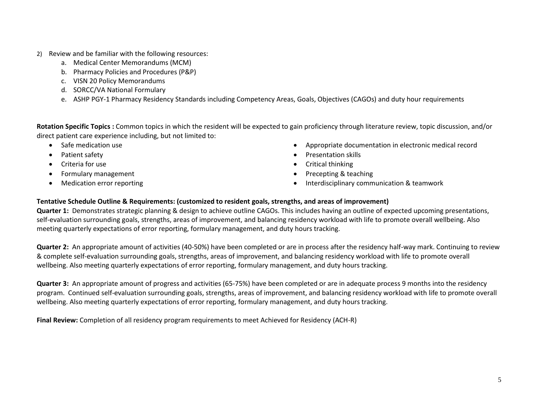- 2) Review and be familiar with the following resources:
	- a. Medical Center Memorandums (MCM)
	- b. Pharmacy Policies and Procedures (P&P)
	- c. VISN 20 Policy Memorandums
	- d. SORCC/VA National Formulary
	- e. ASHP PGY-1 Pharmacy Residency Standards including Competency Areas, Goals, Objectives (CAGOs) and duty hour requirements

**Rotation Specific Topics :** Common topics in which the resident will be expected to gain proficiency through literature review, topic discussion, and/or direct patient care experience including, but not limited to:

- Safe medication use
- Patient safety
- Criteria for use
- Formulary management
- Medication error reporting
- Appropriate documentation in electronic medical record
- Presentation skills
- Critical thinking
- Precepting & teaching
- Interdisciplinary communication & teamwork

## **Tentative Schedule Outline & Requirements: (customized to resident goals, strengths, and areas of improvement)**

**Quarter 1:** Demonstrates strategic planning & design to achieve outline CAGOs. This includes having an outline of expected upcoming presentations, self-evaluation surrounding goals, strengths, areas of improvement, and balancing residency workload with life to promote overall wellbeing. Also meeting quarterly expectations of error reporting, formulary management, and duty hours tracking.

**Quarter 2:** An appropriate amount of activities (40-50%) have been completed or are in process after the residency half-way mark. Continuing to review & complete self-evaluation surrounding goals, strengths, areas of improvement, and balancing residency workload with life to promote overall wellbeing. Also meeting quarterly expectations of error reporting, formulary management, and duty hours tracking.

**Quarter 3:** An appropriate amount of progress and activities (65-75%) have been completed or are in adequate process 9 months into the residency program. Continued self-evaluation surrounding goals, strengths, areas of improvement, and balancing residency workload with life to promote overall wellbeing. Also meeting quarterly expectations of error reporting, formulary management, and duty hours tracking.

**Final Review:** Completion of all residency program requirements to meet Achieved for Residency (ACH-R)